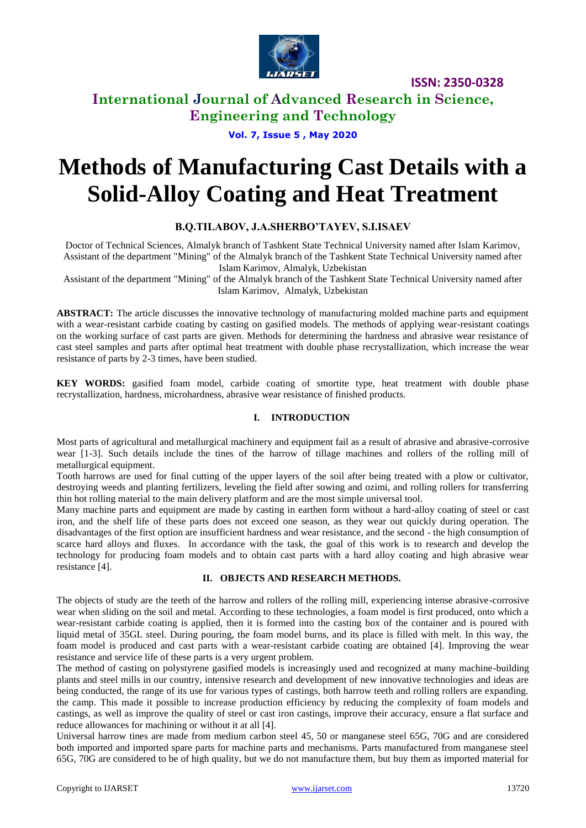

## **International Journal of Advanced Research in Science, Engineering and Technology**

**Vol. 7, Issue 5 , May 2020**

# **Methods of Manufacturing Cast Details with a Solid-Alloy Coating and Heat Treatment**

#### **B.Q.TILABOV, J.A.SHERBO'TAYEV, S.I.ISAEV**

Doctor of Technical Sciences, Almalyk branch of Tashkent State Technical University named after Islam Karimov, Assistant of the department "Mining" of the Almalyk branch of the Tashkent State Technical University named after Islam Karimov, Almalyk, Uzbekistan

Assistant of the department "Mining" of the Almalyk branch of the Tashkent State Technical University named after Islam Karimov, Almalyk, Uzbekistan

**ABSTRACT:** The article discusses the innovative technology of manufacturing molded machine parts and equipment with a wear-resistant carbide coating by casting on gasified models. The methods of applying wear-resistant coatings on the working surface of cast parts are given. Methods for determining the hardness and abrasive wear resistance of cast steel samples and parts after optimal heat treatment with double phase recrystallization, which increase the wear resistance of parts by 2-3 times, have been studied.

**KEY WORDS:** gasified foam model, carbide coating of smortite type, heat treatment with double phase recrystallization, hardness, microhardness, abrasive wear resistance of finished products.

#### **I. INTRODUCTION**

Most parts of agricultural and metallurgical machinery and equipment fail as a result of abrasive and abrasive-corrosive wear [1-3]. Such details include the tines of the harrow of tillage machines and rollers of the rolling mill of metallurgical equipment.

Tooth harrows are used for final cutting of the upper layers of the soil after being treated with a plow or cultivator, destroying weeds and planting fertilizers, leveling the field after sowing and ozimi, and rolling rollers for transferring thin hot rolling material to the main delivery platform and are the most simple universal tool.

Many machine parts and equipment are made by casting in earthen form without a hard-alloy coating of steel or cast iron, and the shelf life of these parts does not exceed one season, as they wear out quickly during operation. The disadvantages of the first option are insufficient hardness and wear resistance, and the second - the high consumption of scarce hard alloys and fluxes. In accordance with the task, the goal of this work is to research and develop the technology for producing foam models and to obtain cast parts with a hard alloy coating and high abrasive wear resistance [4].

#### **II. OBJECTS AND RESEARCH METHODS.**

The objects of study are the teeth of the harrow and rollers of the rolling mill, experiencing intense abrasive-corrosive wear when sliding on the soil and metal. According to these technologies, a foam model is first produced, onto which a wear-resistant carbide coating is applied, then it is formed into the casting box of the container and is poured with liquid metal of 35GL steel. During pouring, the foam model burns, and its place is filled with melt. In this way, the foam model is produced and cast parts with a wear-resistant carbide coating are obtained [4]. Improving the wear resistance and service life of these parts is a very urgent problem.

The method of casting on polystyrene gasified models is increasingly used and recognized at many machine-building plants and steel mills in our country, intensive research and development of new innovative technologies and ideas are being conducted, the range of its use for various types of castings, both harrow teeth and rolling rollers are expanding. the camp. This made it possible to increase production efficiency by reducing the complexity of foam models and castings, as well as improve the quality of steel or cast iron castings, improve their accuracy, ensure a flat surface and reduce allowances for machining or without it at all [4].

Universal harrow tines are made from medium carbon steel 45, 50 or manganese steel 65G, 70G and are considered both imported and imported spare parts for machine parts and mechanisms. Parts manufactured from manganese steel 65G, 70G are considered to be of high quality, but we do not manufacture them, but buy them as imported material for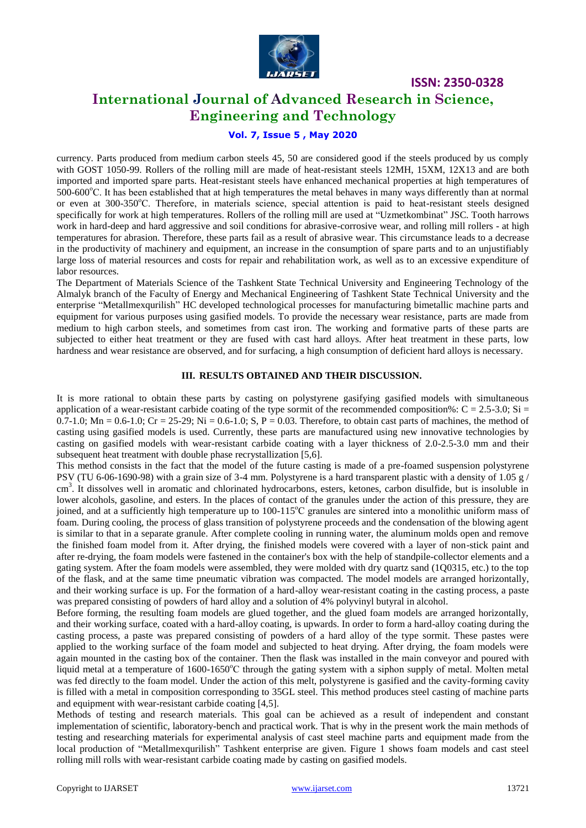

## **International Journal of Advanced Research in Science, Engineering and Technology**

#### **Vol. 7, Issue 5 , May 2020**

currency. Parts produced from medium carbon steels 45, 50 are considered good if the steels produced by us comply with GOST 1050-99. Rollers of the rolling mill are made of heat-resistant steels 12MH, 15XM, 12X13 and are both imported and imported spare parts. Heat-resistant steels have enhanced mechanical properties at high temperatures of  $500-600^{\circ}$ C. It has been established that at high temperatures the metal behaves in many ways differently than at normal or even at 300-350°C. Therefore, in materials science, special attention is paid to heat-resistant steels designed specifically for work at high temperatures. Rollers of the rolling mill are used at "Uzmetkombinat" JSC. Tooth harrows work in hard-deep and hard aggressive and soil conditions for abrasive-corrosive wear, and rolling mill rollers - at high temperatures for abrasion. Therefore, these parts fail as a result of abrasive wear. This circumstance leads to a decrease in the productivity of machinery and equipment, an increase in the consumption of spare parts and to an unjustifiably large loss of material resources and costs for repair and rehabilitation work, as well as to an excessive expenditure of labor resources.

The Department of Materials Science of the Tashkent State Technical University and Engineering Technology of the Almalyk branch of the Faculty of Energy and Mechanical Engineering of Tashkent State Technical University and the enterprise "Metallmexqurilish" HC developed technological processes for manufacturing bimetallic machine parts and equipment for various purposes using gasified models. To provide the necessary wear resistance, parts are made from medium to high carbon steels, and sometimes from cast iron. The working and formative parts of these parts are subjected to either heat treatment or they are fused with cast hard alloys. After heat treatment in these parts, low hardness and wear resistance are observed, and for surfacing, a high consumption of deficient hard alloys is necessary.

#### **III. RESULTS OBTAINED AND THEIR DISCUSSION.**

It is more rational to obtain these parts by casting on polystyrene gasifying gasified models with simultaneous application of a wear-resistant carbide coating of the type sormit of the recommended composition%:  $C = 2.5-3.0$ ; Si =  $0.7-1.0$ ; Mn =  $0.6-1.0$ ; Cr =  $25-29$ ; Ni =  $0.6-1.0$ ; S, P =  $0.03$ . Therefore, to obtain cast parts of machines, the method of casting using gasified models is used. Currently, these parts are manufactured using new innovative technologies by casting on gasified models with wear-resistant carbide coating with a layer thickness of 2.0-2.5-3.0 mm and their subsequent heat treatment with double phase recrystallization [5,6].

This method consists in the fact that the model of the future casting is made of a pre-foamed suspension polystyrene PSV (TU 6-06-1690-98) with a grain size of 3-4 mm. Polystyrene is a hard transparent plastic with a density of 1.05  $g/$ cm<sup>3</sup>. It dissolves well in aromatic and chlorinated hydrocarbons, esters, ketones, carbon disulfide, but is insoluble in lower alcohols, gasoline, and esters. In the places of contact of the granules under the action of this pressure, they are joined, and at a sufficiently high temperature up to 100-115°C granules are sintered into a monolithic uniform mass of foam. During cooling, the process of glass transition of polystyrene proceeds and the condensation of the blowing agent is similar to that in a separate granule. After complete cooling in running water, the aluminum molds open and remove the finished foam model from it. After drying, the finished models were covered with a layer of non-stick paint and after re-drying, the foam models were fastened in the container's box with the help of standpile-collector elements and a gating system. After the foam models were assembled, they were molded with dry quartz sand (1Q0315, etc.) to the top of the flask, and at the same time pneumatic vibration was compacted. The model models are arranged horizontally, and their working surface is up. For the formation of a hard-alloy wear-resistant coating in the casting process, a paste was prepared consisting of powders of hard alloy and a solution of 4% polyvinyl butyral in alcohol.

Before forming, the resulting foam models are glued together, and the glued foam models are arranged horizontally, and their working surface, coated with a hard-alloy coating, is upwards. In order to form a hard-alloy coating during the casting process, a paste was prepared consisting of powders of a hard alloy of the type sormit. These pastes were applied to the working surface of the foam model and subjected to heat drying. After drying, the foam models were again mounted in the casting box of the container. Then the flask was installed in the main conveyor and poured with liquid metal at a temperature of 1600-1650°C through the gating system with a siphon supply of metal. Molten metal was fed directly to the foam model. Under the action of this melt, polystyrene is gasified and the cavity-forming cavity is filled with a metal in composition corresponding to 35GL steel. This method produces steel casting of machine parts and equipment with wear-resistant carbide coating [4,5].

Methods of testing and research materials. This goal can be achieved as a result of independent and constant implementation of scientific, laboratory-bench and practical work. That is why in the present work the main methods of testing and researching materials for experimental analysis of cast steel machine parts and equipment made from the local production of "Metallmexqurilish" Tashkent enterprise are given. Figure 1 shows foam models and cast steel rolling mill rolls with wear-resistant carbide coating made by casting on gasified models.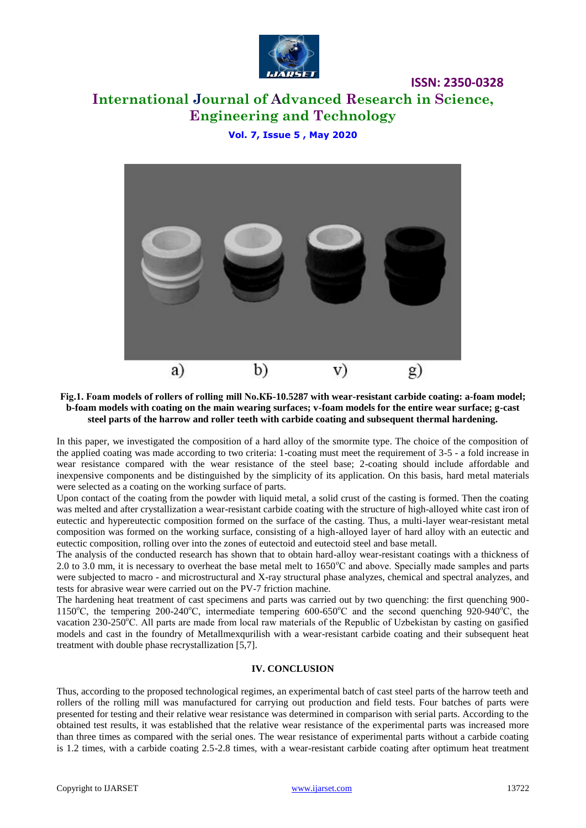

# **International Journal of Advanced Research in Science, Engineering and Technology**

#### **Vol. 7, Issue 5 , May 2020**



#### **Fig.1. Foam models of rollers of rolling mill No.КБ-10.5287 with wear-resistant carbide coating: a-foam model; b-foam models with coating on the main wearing surfaces; v-foam models for the entire wear surface; g-cast steel parts of the harrow and roller teeth with carbide coating and subsequent thermal hardening.**

In this paper, we investigated the composition of a hard alloy of the smormite type. The choice of the composition of the applied coating was made according to two criteria: 1-coating must meet the requirement of 3-5 - a fold increase in wear resistance compared with the wear resistance of the steel base; 2-coating should include affordable and inexpensive components and be distinguished by the simplicity of its application. On this basis, hard metal materials were selected as a coating on the working surface of parts.

Upon contact of the coating from the powder with liquid metal, a solid crust of the casting is formed. Then the coating was melted and after crystallization a wear-resistant carbide coating with the structure of high-alloyed white cast iron of eutectic and hypereutectic composition formed on the surface of the casting. Thus, a multi-layer wear-resistant metal composition was formed on the working surface, consisting of a high-alloyed layer of hard alloy with an eutectic and eutectic composition, rolling over into the zones of eutectoid and eutectoid steel and base metall.

The analysis of the conducted research has shown that to obtain hard-alloy wear-resistant coatings with a thickness of 2.0 to 3.0 mm, it is necessary to overheat the base metal melt to  $1650^{\circ}$ C and above. Specially made samples and parts were subjected to macro - and microstructural and X-ray structural phase analyzes, chemical and spectral analyzes, and tests for abrasive wear were carried out on the PV-7 friction machine.

The hardening heat treatment of cast specimens and parts was carried out by two quenching: the first quenching 900- 1150<sup>o</sup>C, the tempering 200-240<sup>o</sup>C, intermediate tempering 600-650<sup>o</sup>C and the second quenching 920-940<sup>o</sup>C, the vacation 230-250°C. All parts are made from local raw materials of the Republic of Uzbekistan by casting on gasified models and cast in the foundry of Metallmexqurilish with a wear-resistant carbide coating and their subsequent heat treatment with double phase recrystallization [5,7].

#### **IV. CONCLUSION**

Thus, according to the proposed technological regimes, an experimental batch of cast steel parts of the harrow teeth and rollers of the rolling mill was manufactured for carrying out production and field tests. Four batches of parts were presented for testing and their relative wear resistance was determined in comparison with serial parts. According to the obtained test results, it was established that the relative wear resistance of the experimental parts was increased more than three times as compared with the serial ones. The wear resistance of experimental parts without a carbide coating is 1.2 times, with a carbide coating 2.5-2.8 times, with a wear-resistant carbide coating after optimum heat treatment